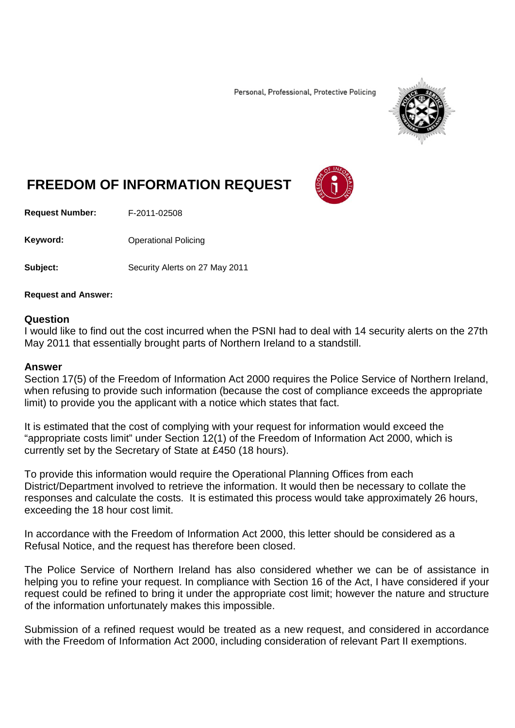Personal, Professional, Protective Policing



## **FREEDOM OF INFORMATION REQUEST**

**Request Number:** F-2011-02508

**Keyword:** Operational Policing

**Subject:** Security Alerts on 27 May 2011

**Request and Answer:**

## **Question**

I would like to find out the cost incurred when the PSNI had to deal with 14 security alerts on the 27th May 2011 that essentially brought parts of Northern Ireland to a standstill.

## **Answer**

Section 17(5) of the Freedom of Information Act 2000 requires the Police Service of Northern Ireland, when refusing to provide such information (because the cost of compliance exceeds the appropriate limit) to provide you the applicant with a notice which states that fact.

It is estimated that the cost of complying with your request for information would exceed the "appropriate costs limit" under Section 12(1) of the Freedom of Information Act 2000, which is currently set by the Secretary of State at £450 (18 hours).

To provide this information would require the Operational Planning Offices from each District/Department involved to retrieve the information. It would then be necessary to collate the responses and calculate the costs. It is estimated this process would take approximately 26 hours, exceeding the 18 hour cost limit.

In accordance with the Freedom of Information Act 2000, this letter should be considered as a Refusal Notice, and the request has therefore been closed.

The Police Service of Northern Ireland has also considered whether we can be of assistance in helping you to refine your request. In compliance with Section 16 of the Act, I have considered if your request could be refined to bring it under the appropriate cost limit; however the nature and structure of the information unfortunately makes this impossible.

Submission of a refined request would be treated as a new request, and considered in accordance with the Freedom of Information Act 2000, including consideration of relevant Part II exemptions.